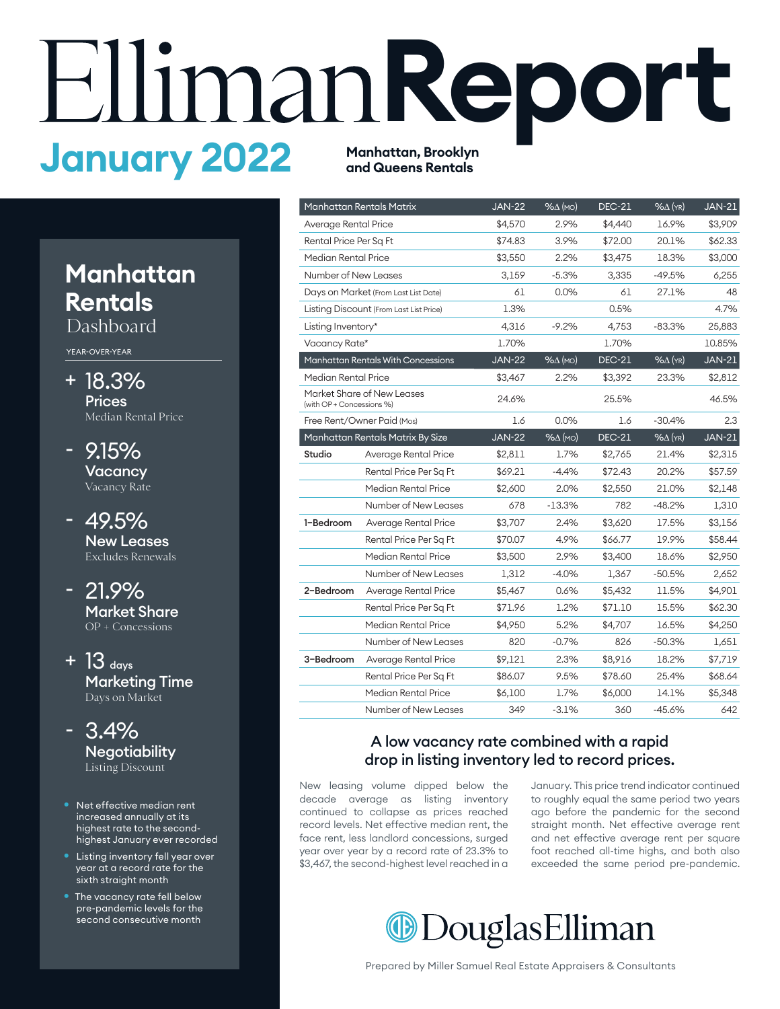# **Report**<br> **January 2022** Manhattan, Brooklyn **and Queens Rentals**

## **Manhatan Rentals**

Dashboard

YEAR-OVER-YEAR

- 18.3% + **Prices** Median Rental Price
- 9.15% **Vacancy** Vacancy Rate -
- 49.5% New Leases Excludes Renewals
- 21.9% Market Share OP + Concessions -
- $+$  13  $_{\text{days}}$ Marketing Time Days on Market
- 3.4% **Negotiability** Listing Discount
- Net effective median rent increased annually at its highest rate to the secondhighest January ever recorded
- Listing inventory fell year over year at a record rate for the sixth straight month
- **The vacancy rate fell below** pre-pandemic levels for the second consecutive month

|                           | Manhattan Rentals Matrix                | <b>JAN-22</b> | $% \triangle (MO)$ | <b>DEC-21</b> | $% \triangle (YR)$ | <b>JAN-21</b> |
|---------------------------|-----------------------------------------|---------------|--------------------|---------------|--------------------|---------------|
| Average Rental Price      |                                         | \$4,570       | 2.9%               | \$4,440       | 16.9%              | \$3,909       |
| Rental Price Per Sq Ft    |                                         | \$74.83       | 3.9%               | \$72.00       | 20.1%              | \$62.33       |
| Median Rental Price       |                                         | \$3,550       | 2.2%               | \$3,475       | 18.3%              | \$3,000       |
| Number of New Leases      |                                         | 3,159         | $-5.3%$            | 3,335         | $-49.5%$           | 6,255         |
|                           | Days on Market (From Last List Date)    | 61            | $0.0\%$            | 61            | 27.1%              | 48            |
|                           | Listing Discount (From Last List Price) | 1.3%          |                    | 0.5%          |                    | 4.7%          |
| Listing Inventory*        |                                         | 4,316         | $-9.2%$            | 4,753         | $-83.3%$           | 25,883        |
| Vacancy Rate*             |                                         | 1.70%         |                    | 1.70%         |                    | 10.85%        |
|                           | Manhattan Rentals With Concessions      | <b>JAN-22</b> | $% \triangle (MO)$ | <b>DEC-21</b> | $% \triangle$ (YR) | <b>JAN-21</b> |
| Median Rental Price       |                                         | \$3,467       | 2.2%               | \$3,392       | 23.3%              | \$2,812       |
| (with OP + Concessions %) | Market Share of New Leases              | 24.6%         |                    | 25.5%         |                    | 46.5%         |
|                           | Free Rent/Owner Paid (Mos)              |               | 0.0%               | 1.6           | $-30.4%$           | 2.3           |
|                           | Manhattan Rentals Matrix By Size        | <b>JAN-22</b> | $% \triangle (MO)$ | <b>DEC-21</b> | $%$ $\Delta$ (YR)  | <b>JAN-21</b> |
| Studio                    | Average Rental Price                    | \$2,811       | 1.7%               | \$2,765       | 21.4%              | \$2,315       |
|                           | Rental Price Per Sq Ft                  | \$69.21       | $-4.4%$            | \$72.43       | 20.2%              | \$57.59       |
|                           | Median Rental Price                     | \$2,600       | 2.0%               | \$2,550       | 21.0%              | \$2,148       |
|                           | Number of New Leases                    | 678           | $-13.3%$           | 782           | $-48.2%$           | 1,310         |
| 1-Bedroom                 | Average Rental Price                    | \$3,707       | 2.4%               | \$3,620       | 17.5%              | \$3,156       |
|                           | Rental Price Per Sq Ft                  | \$70.07       | 4.9%               | \$66.77       | 19.9%              | \$58.44       |
|                           | Median Rental Price                     | \$3,500       | 2.9%               | \$3,400       | 18.6%              | \$2,950       |
|                           | Number of New Leases                    | 1,312         | $-4.0%$            | 1,367         | $-50.5%$           | 2,652         |
| 2-Bedroom                 | Average Rental Price                    | \$5,467       | 0.6%               | \$5,432       | 11.5%              | \$4,901       |
|                           | Rental Price Per Sq Ft                  | \$71.96       | 1.2%               | \$71.10       | 15.5%              | \$62.30       |
|                           | Median Rental Price                     | \$4,950       | 5.2%               | \$4,707       | 16.5%              | \$4,250       |
|                           | Number of New Leases                    | 820           | $-0.7%$            | 826           | $-50.3%$           | 1,651         |
| 3-Bedroom                 | Average Rental Price                    | \$9,121       | 2.3%               | \$8,916       | 18.2%              | \$7,719       |
|                           | Rental Price Per Sq Ft                  | \$86.07       | 9.5%               | \$78.60       | 25.4%              | \$68.64       |
|                           | Median Rental Price                     | \$6,100       | 1.7%               | \$6,000       | 14.1%              | \$5,348       |
|                           | Number of New Leases                    | 349           | $-3.1%$            | 360           | $-45.6%$           | 642           |

#### A low vacancy rate combined with a rapid drop in listing inventory led to record prices.

New leasing volume dipped below the decade average as listing inventory continued to collapse as prices reached record levels. Net effective median rent, the face rent, less landlord concessions, surged year over year by a record rate of 23.3% to \$3,467, the second-highest level reached in a January. This price trend indicator continued to roughly equal the same period two years ago before the pandemic for the second straight month. Net effective average rent and net effective average rent per square foot reached all-time highs, and both also exceeded the same period pre-pandemic.

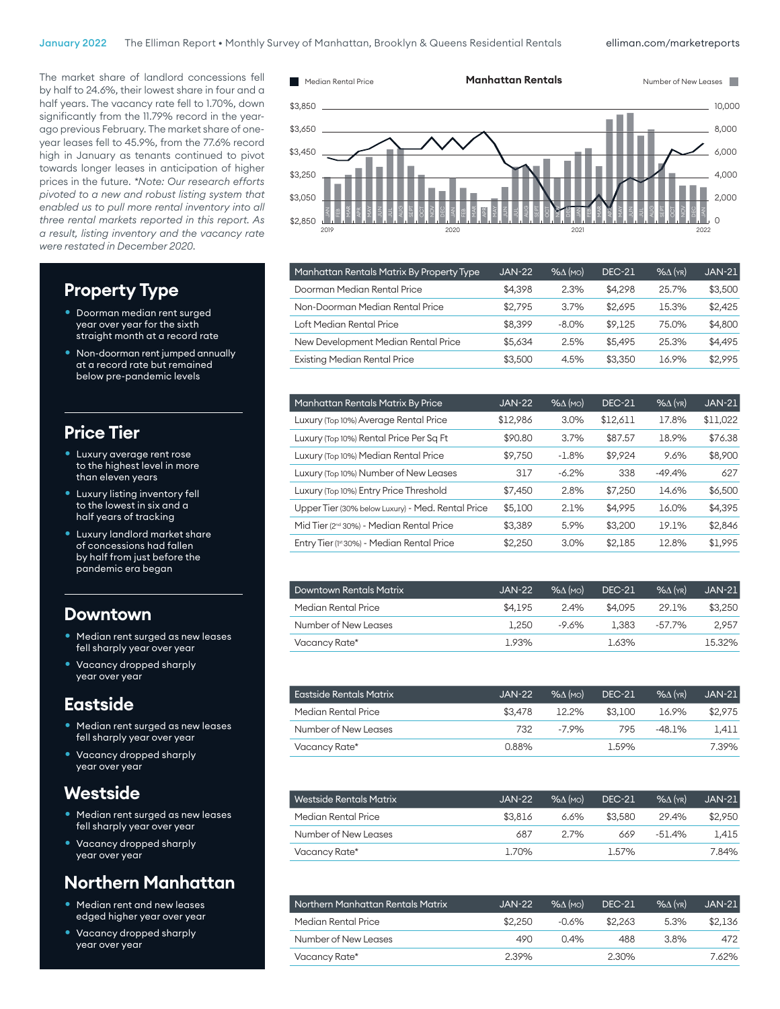\$2,650

#### elliman.com/marketreports

240

The market share of landlord concessions fell by half to 24.6%, their lowest share in four and a half years. The vacancy rate fell to 1.70%, down significantly from the 11.79% record in the yearago previous February. The market share of oneyear leases fell to 45.9%, from the 77.6% record high in January as tenants continued to pivot towards longer leases in anticipation of higher prices in the future. *\*Note: Our research efforts pivoted to a new and robust listing system that enabled us to pull more rental inventory into all three rental markets reported in this report. As a result, listing inventory and the vacancy rate were restated in December 2020.*

#### **Property Type**

- Doorman median rent surged year over year for the sixth straight month at a record rate
- Non-doorman rent jumped annually at a record rate but remained below pre-pandemic levels

#### **Price Tier**

- Luxury average rent rose to the highest level in more than eleven years
- Luxury listing inventory fell to the lowest in six and a half years of tracking
- Luxury landlord market share of concessions had fallen by half from just before the pandemic era began

#### **Downtown**

- Median rent surged as new leases fell sharply year over year
- Vacancy dropped sharply year over year

#### **Eastside**

- Median rent surged as new leases fell sharply year over year
- Vacancy dropped sharply year over year

#### **Westside**

- Median rent surged as new leases fell sharply year over year
- Vacancy dropped sharply year over year

#### **Northern Manhatan**

- Median rent and new leases edged higher year over year
- Vacancy dropped sharply year over year



| Manhattan Rentals Matrix By Property Type | <b>JAN-22</b> | $% \triangle$ (MO) | <b>DEC-21</b> | $%$ $\Delta$ (YR) | <b>JAN-21</b> |
|-------------------------------------------|---------------|--------------------|---------------|-------------------|---------------|
| Doorman Median Rental Price               | \$4.398       | 2.3%               | \$4.298       | 25.7%             | \$3,500       |
| Non-Doorman Median Rental Price           | \$2.795       | 3.7%               | \$2.695       | 15.3%             | \$2,425       |
| Loft Median Rental Price                  | \$8.399       | $-8.0\%$           | \$9.125       | 75.0%             | \$4,800       |
| New Development Median Rental Price       | \$5.634       | 2.5%               | \$5,495       | 25.3%             | \$4.495       |
| <b>Existing Median Rental Price</b>       | \$3,500       | 4.5%               | \$3,350       | 16.9%             | \$2,995       |
|                                           |               |                    |               |                   |               |

| Manhattan Rentals Matrix By Price                    | <b>JAN-22</b> | $% \triangle (MO)$ | <b>DEC-21</b> | $%$ $\Delta$ (YR) | <b>JAN-21</b> |
|------------------------------------------------------|---------------|--------------------|---------------|-------------------|---------------|
| Luxury (Top 10%) Average Rental Price                | \$12,986      | 3.0%               | \$12,611      | 17.8%             | \$11,022      |
| Luxury (Top 10%) Rental Price Per Sq Ft              | \$90.80       | 3.7%               | \$87.57       | 18.9%             | \$76.38       |
| Luxury (Top 10%) Median Rental Price                 | \$9,750       | $-1.8%$            | \$9.924       | 9.6%              | \$8,900       |
| Luxury (Top 10%) Number of New Leases                | 317           | $-6.2%$            | 338           | $-49.4%$          | 627           |
| Luxury (Top 10%) Entry Price Threshold               | \$7,450       | 2.8%               | \$7,250       | 14.6%             | \$6,500       |
| Upper Tier (30% below Luxury) - Med. Rental Price    | \$5,100       | 2.1%               | \$4,995       | 16.0%             | \$4,395       |
| Mid Tier (2 <sup>nd</sup> 30%) - Median Rental Price | \$3.389       | 5.9%               | \$3,200       | 19.1%             | \$2,846       |
| Entry Tier (1st 30%) - Median Rental Price           | \$2.250       | 3.0%               | \$2.185       | 12.8%             | \$1,995       |

| <b>Downtown Rentals Matrix</b> | JAN-22  | $\frac{96}{\Lambda}$ (MO) | <b>DEC-21</b> | $\mathcal{A}(\mathsf{Y}\mathsf{R})$ | $JAN-21$ |
|--------------------------------|---------|---------------------------|---------------|-------------------------------------|----------|
| Median Rental Price            | \$4.195 | 2.4%                      | \$4.095       | 29.1%                               | \$3,250  |
| Number of New Leases           | 1.250   | $-9.6%$                   | 1.383         | -57.7%                              | 2.957    |
| Vacancy Rate*                  | 1.93%   |                           | 1.63%         |                                     | 15.32%   |

| Eastside Rentals Matrix | JAN-22  | $\frac{96}{\Lambda}$ (MO) | <b>DEC-21</b> | $\%$ $\wedge$ (YR) | $JAN-21$ |
|-------------------------|---------|---------------------------|---------------|--------------------|----------|
| Median Rental Price     | \$3.478 | 12.2%                     | \$3.100       | 16.9%              | \$2,975  |
| Number of New Leases    | 732     | $-7.9%$                   | 795           | $-48.1\%$          | 1.411    |
| Vacancy Rate*           | 0.88%   |                           | 1.59%         |                    | 7.39%    |

| Westside Rentals Matrix | $JAN-22$ | $%$ $\Lambda$ (MO) | <b>DEC-21</b> | $%$ $(\gamma_R)$ | $JAN-21$ |
|-------------------------|----------|--------------------|---------------|------------------|----------|
| Median Rental Price     | \$3.816  | 6.6%               | \$3,580       | 29.4%            | \$2,950  |
| Number of New Leases    | 687      | 2.7%               | 669           | $-51.4\%$        | 1.415    |
| Vacancy Rate*           | 1.70%    |                    | 1.57%         |                  | 7.84%    |

| Northern Manhattan Rentals Matrix | JAN-22  | $\%$ $\Lambda$ (MO) | <b>DEC-21</b> | $%$ $(\gamma_R)$ | $JAN-21$ |
|-----------------------------------|---------|---------------------|---------------|------------------|----------|
| Median Rental Price               | \$2,250 | $-0.6%$             | \$2,263       | $5.3\%$          | \$2.136  |
| Number of New Leases              | 490     | 0.4%                | 488           | 3.8%             | 472      |
| Vacancy Rate*                     | 2.39%   |                     | 2.30%         |                  | 7.62%    |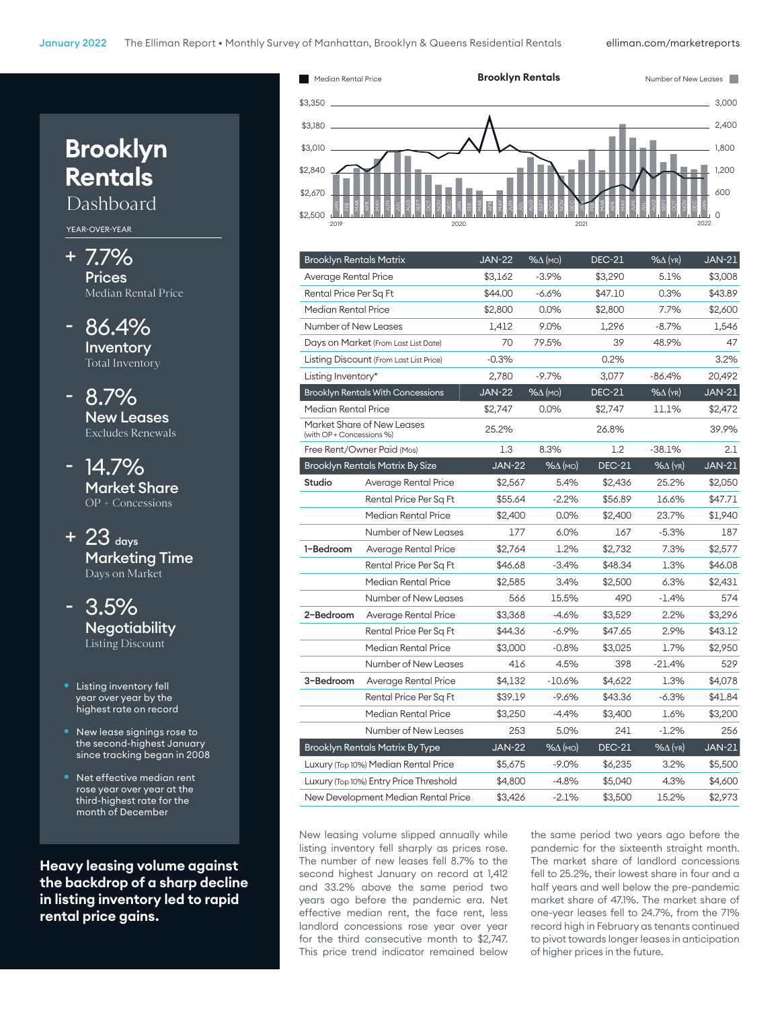elliman.com/marketreports



| <b>Brooklyn Rentals Matrix</b>         |                                          | <b>JAN-22</b> | $% \triangle (MO)$ | <b>DEC-21</b> | $% \triangle$ (YR) | <b>JAN-21</b> |
|----------------------------------------|------------------------------------------|---------------|--------------------|---------------|--------------------|---------------|
| Average Rental Price                   |                                          | \$3,162       | $-3.9%$            | \$3,290       | 5.1%               | \$3,008       |
| Rental Price Per Sq Ft                 |                                          | \$44.00       | $-6.6%$            | \$47.10       | 0.3%               | \$43.89       |
| Median Rental Price                    |                                          | \$2,800       | 0.0%               | \$2,800       | 7.7%               | \$2,600       |
| Number of New Leases                   |                                          | 1,412         | 9.0%               | 1,296         | $-8.7%$            | 1,546         |
|                                        | Days on Market (From Last List Date)     | 70            | 79.5%              | 39            | 48.9%              | 47            |
|                                        | Listing Discount (From Last List Price)  | $-0.3%$       |                    | 0.2%          |                    | 3.2%          |
| Listing Inventory*                     |                                          | 2,780         | $-9.7%$            | 3,077         | $-86.4%$           | 20,492        |
|                                        | <b>Brooklyn Rentals With Concessions</b> | <b>JAN-22</b> | $% \triangle (MO)$ | <b>DEC-21</b> | $%$ $\Delta$ (YR)  | $JAN-21$      |
| Median Rental Price                    |                                          | \$2,747       | $0.0\%$            | \$2,747       | 11.1%              | \$2,472       |
| (with OP + Concessions %)              | Market Share of New Leases               | 25.2%         |                    | 26.8%         |                    | 39.9%         |
|                                        | Free Rent/Owner Paid (Mos)               | 1.3           | 8.3%               | 1.2           | $-38.1%$           | 2.1           |
|                                        | <b>Brooklyn Rentals Matrix By Size</b>   | <b>JAN-22</b> | $% \triangle (MO)$ | <b>DEC-21</b> | $% \Delta$ (YR)    | <b>JAN-21</b> |
| Studio                                 | Average Rental Price                     | \$2,567       | 5.4%               | \$2,436       | 25.2%              | \$2,050       |
|                                        | Rental Price Per Sq Ft                   | \$55.64       | $-2.2%$            | \$56.89       | 16.6%              | \$47.71       |
|                                        | Median Rental Price                      | \$2,400       | 0.0%               | \$2,400       | 23.7%              | \$1,940       |
|                                        | Number of New Leases                     | 177           | 6.0%               | 167           | $-5.3%$            | 187           |
| 1-Bedroom                              | Average Rental Price                     | \$2,764       | 1.2%               | \$2,732       | 7.3%               | \$2,577       |
|                                        | Rental Price Per Sq Ft                   | \$46.68       | $-3.4%$            | \$48.34       | 1.3%               | \$46.08       |
|                                        | Median Rental Price                      | \$2,585       | 3.4%               | \$2,500       | 6.3%               | \$2,431       |
|                                        | Number of New Leases                     | 566           | 15.5%              | 490           | $-1.4%$            | 574           |
| 2-Bedroom                              | Average Rental Price                     | \$3,368       | $-4.6%$            | \$3,529       | 2.2%               | \$3,296       |
|                                        | Rental Price Per Sq Ft                   | \$44.36       | $-6.9%$            | \$47.65       | 2.9%               | \$43.12       |
|                                        | Median Rental Price                      | \$3,000       | $-0.8%$            | \$3,025       | 1.7%               | \$2,950       |
|                                        | Number of New Leases                     | 416           | 4.5%               | 398           | $-21.4%$           | 529           |
| 3-Bedroom                              | Average Rental Price                     | \$4,132       | $-10.6%$           | \$4,622       | 1.3%               | \$4,078       |
|                                        | Rental Price Per Sq Ft                   | \$39.19       | $-9.6%$            | \$43.36       | $-6.3%$            | \$41.84       |
|                                        | Median Rental Price                      | \$3,250       | $-4.4%$            | \$3,400       | 1.6%               | \$3,200       |
|                                        | Number of New Leases                     | 253           | 5.0%               | 241           | $-1.2\%$           | 256           |
| <b>Brooklyn Rentals Matrix By Type</b> |                                          | <b>JAN-22</b> | $% \triangle (MO)$ | <b>DEC-21</b> | $% \triangle (YR)$ | <b>JAN-21</b> |
|                                        | Luxury (Top 10%) Median Rental Price     | \$5,675       | $-9.0\%$           | \$6,235       | 3.2%               | \$5,500       |
|                                        | Luxury (Top 10%) Entry Price Threshold   | \$4,800       | $-4.8\%$           | \$5,040       | 4.3%               | \$4,600       |
|                                        | New Development Median Rental Price      | \$3,426       | $-2.1%$            | \$3,500       | 15.2%              | \$2,973       |

New leasing volume slipped annually while listing inventory fell sharply as prices rose. The number of new leases fell 8.7% to the second highest January on record at 1,412 and 33.2% above the same period two years ago before the pandemic era. Net effective median rent, the face rent, less landlord concessions rose year over year for the third consecutive month to \$2,747. This price trend indicator remained below the same period two years ago before the pandemic for the sixteenth straight month. The market share of landlord concessions fell to 25.2%, their lowest share in four and a half years and well below the pre-pandemic market share of 47.1%. The market share of one-year leases fell to 24.7%, from the 71% record high in February as tenants continued to pivot towards longer leases in anticipation of higher prices in the future.

## **Brooklyn Rentals**

Dashboard

YEAR-OVER-YEAR

- + 7.7% Prices Median Rental Price
- 86.4% Inventory Total Inventory

- 8.7% New Leases Excludes Renewals

- 14.7% Market Share OP + Concessions

+ 23 days Marketing Time Days on Market

- 3.5% **Negotiability** Listing Discount

- Listing inventory fell year over year by the highest rate on record
- New lease signings rose to the second-highest January since tracking began in 2008
- Net effective median rent rose year over year at the third-highest rate for the month of December

**Heavy leasing volume against the backdrop of a sharp decline in listing inventory led to rapid rental price gains.**